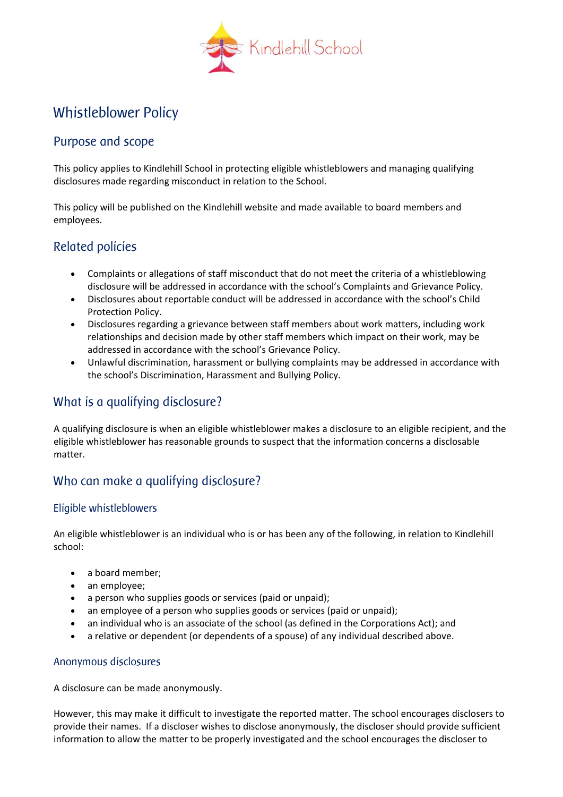

# Whistleblower Policy

### Purpose and scope

This policy applies to Kindlehill School in protecting eligible whistleblowers and managing qualifying disclosures made regarding misconduct in relation to the School.

This policy will be published on the Kindlehill website and made available to board members and employees.

### Related policies

- Complaints or allegations of staff misconduct that do not meet the criteria of a whistleblowing disclosure will be addressed in accordance with the school's Complaints and Grievance Policy.
- Disclosures about reportable conduct will be addressed in accordance with the school's Child Protection Policy.
- Disclosures regarding a grievance between staff members about work matters, including work relationships and decision made by other staff members which impact on their work, may be addressed in accordance with the school's Grievance Policy.
- Unlawful discrimination, harassment or bullying complaints may be addressed in accordance with the school's Discrimination, Harassment and Bullying Policy.

## What is a qualifying disclosure?

A qualifying disclosure is when an eligible whistleblower makes a disclosure to an eligible recipient, and the eligible whistleblower has reasonable grounds to suspect that the information concerns a disclosable matter.

## Who can make a qualifying disclosure?

#### Eligible whistleblowers

An eligible whistleblower is an individual who is or has been any of the following, in relation to Kindlehill school:

- a board member;
- an employee;
- a person who supplies goods or services (paid or unpaid);
- an employee of a person who supplies goods or services (paid or unpaid):
- an individual who is an associate of the school (as defined in the Corporations Act); and
- a relative or dependent (or dependents of a spouse) of any individual described above.

#### Anonymous disclosures

A disclosure can be made anonymously.

However, this may make it difficult to investigate the reported matter. The school encourages disclosers to provide their names. If a discloser wishes to disclose anonymously, the discloser should provide sufficient information to allow the matter to be properly investigated and the school encourages the discloser to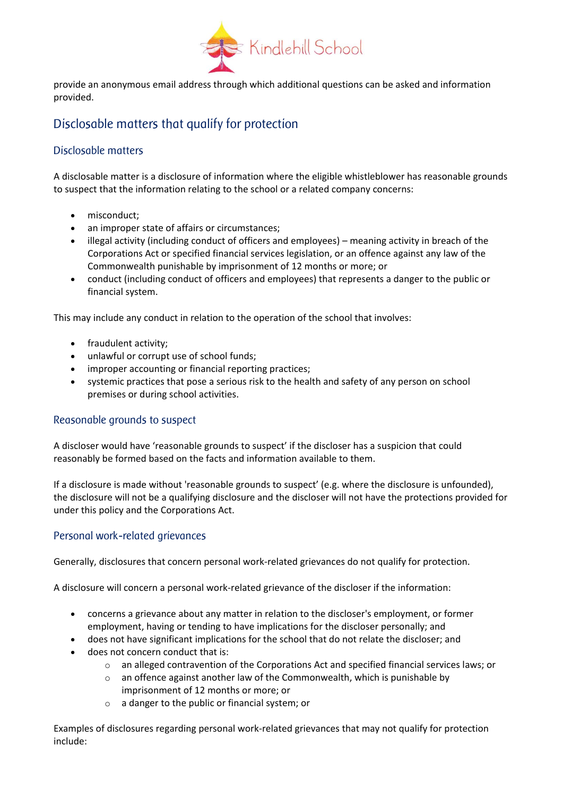

provide an anonymous email address through which additional questions can be asked and information provided.

## Disclosable matters that qualify for protection

#### Disclosable matters

A disclosable matter is a disclosure of information where the eligible whistleblower has reasonable grounds to suspect that the information relating to the school or a related company concerns:

- misconduct:
- an improper state of affairs or circumstances;
- illegal activity (including conduct of officers and employees) meaning activity in breach of the Corporations Act or specified financial services legislation, or an offence against any law of the Commonwealth punishable by imprisonment of 12 months or more; or
- conduct (including conduct of officers and employees) that represents a danger to the public or financial system.

This may include any conduct in relation to the operation of the school that involves:

- fraudulent activity;
- unlawful or corrupt use of school funds;
- improper accounting or financial reporting practices;
- systemic practices that pose a serious risk to the health and safety of any person on school premises or during school activities.

#### Reasonable grounds to suspect

A discloser would have 'reasonable grounds to suspect' if the discloser has a suspicion that could reasonably be formed based on the facts and information available to them.

If a disclosure is made without 'reasonable grounds to suspect' (e.g. where the disclosure is unfounded), the disclosure will not be a qualifying disclosure and the discloser will not have the protections provided for under this policy and the Corporations Act.

#### Personal work-related grievances

Generally, disclosures that concern personal work-related grievances do not qualify for protection.

A disclosure will concern a personal work-related grievance of the discloser if the information:

- concerns a grievance about any matter in relation to the discloser's employment, or former employment, having or tending to have implications for the discloser personally; and
- does not have significant implications for the school that do not relate the discloser; and
- does not concern conduct that is:
	- $\circ$  an alleged contravention of the Corporations Act and specified financial services laws; or
	- $\circ$  an offence against another law of the Commonwealth, which is punishable by imprisonment of 12 months or more; or
	- o a danger to the public or financial system; or

Examples of disclosures regarding personal work-related grievances that may not qualify for protection include: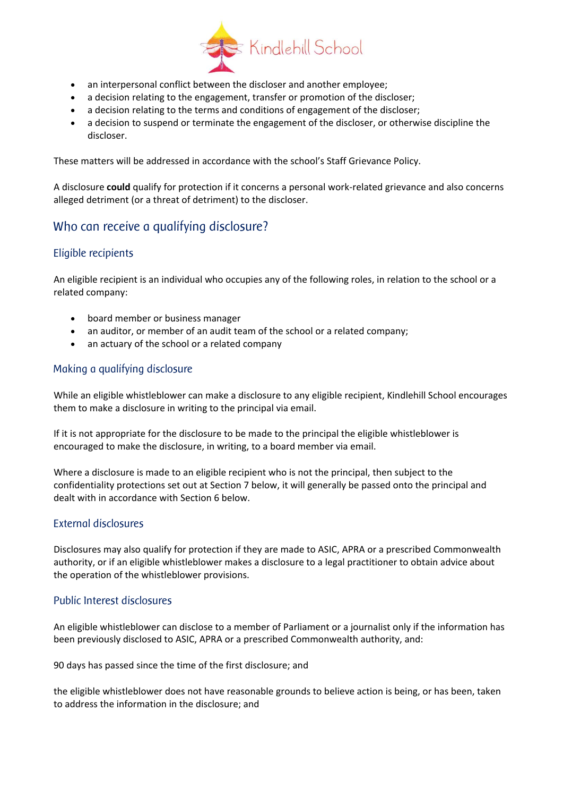

- an interpersonal conflict between the discloser and another employee;
- a decision relating to the engagement, transfer or promotion of the discloser;
- a decision relating to the terms and conditions of engagement of the discloser;
- a decision to suspend or terminate the engagement of the discloser, or otherwise discipline the discloser.

These matters will be addressed in accordance with the school's Staff Grievance Policy.

A disclosure **could** qualify for protection if it concerns a personal work-related grievance and also concerns alleged detriment (or a threat of detriment) to the discloser.

## Who can receive a qualifying disclosure?

#### Eligible recipients

An eligible recipient is an individual who occupies any of the following roles, in relation to the school or a related company:

- board member or business manager
- an auditor, or member of an audit team of the school or a related company;
- an actuary of the school or a related company

#### Making a qualifying disclosure

While an eligible whistleblower can make a disclosure to any eligible recipient, Kindlehill School encourages them to make a disclosure in writing to the principal via email.

If it is not appropriate for the disclosure to be made to the principal the eligible whistleblower is encouraged to make the disclosure, in writing, to a board member via email.

Where a disclosure is made to an eligible recipient who is not the principal, then subject to the confidentiality protections set out at Section 7 below, it will generally be passed onto the principal and dealt with in accordance with Section 6 below.

#### External disclosures

Disclosures may also qualify for protection if they are made to ASIC, APRA or a prescribed Commonwealth authority, or if an eligible whistleblower makes a disclosure to a legal practitioner to obtain advice about the operation of the whistleblower provisions.

#### Public Interest disclosures

An eligible whistleblower can disclose to a member of Parliament or a journalist only if the information has been previously disclosed to ASIC, APRA or a prescribed Commonwealth authority, and:

90 days has passed since the time of the first disclosure; and

the eligible whistleblower does not have reasonable grounds to believe action is being, or has been, taken to address the information in the disclosure; and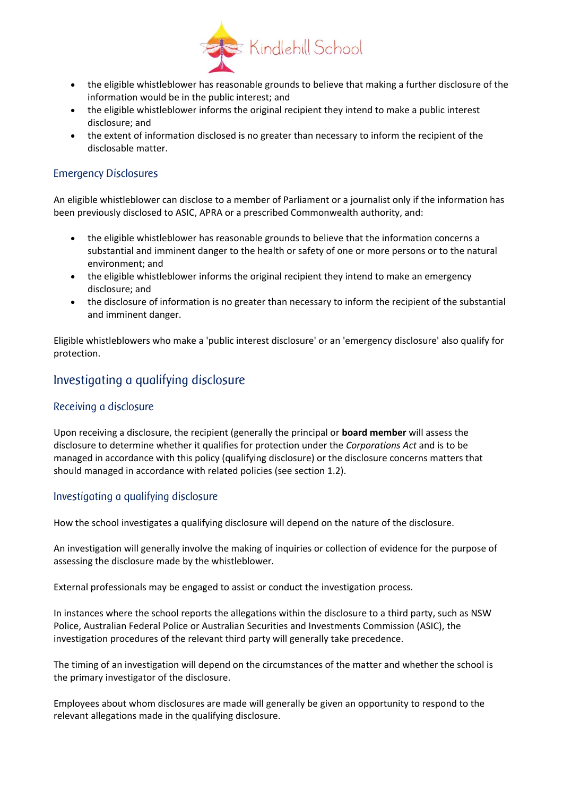

- the eligible whistleblower has reasonable grounds to believe that making a further disclosure of the information would be in the public interest; and
- the eligible whistleblower informs the original recipient they intend to make a public interest disclosure; and
- the extent of information disclosed is no greater than necessary to inform the recipient of the disclosable matter.

#### Emergency Disclosures

An eligible whistleblower can disclose to a member of Parliament or a journalist only if the information has been previously disclosed to ASIC, APRA or a prescribed Commonwealth authority, and:

- the eligible whistleblower has reasonable grounds to believe that the information concerns a substantial and imminent danger to the health or safety of one or more persons or to the natural environment; and
- the eligible whistleblower informs the original recipient they intend to make an emergency disclosure; and
- the disclosure of information is no greater than necessary to inform the recipient of the substantial and imminent danger.

Eligible whistleblowers who make a 'public interest disclosure' or an 'emergency disclosure' also qualify for protection.

### Investigating a qualifying disclosure

#### Receiving a disclosure

Upon receiving a disclosure, the recipient (generally the principal or **board member** will assess the disclosure to determine whether it qualifies for protection under the *Corporations Act* and is to be managed in accordance with this policy (qualifying disclosure) or the disclosure concerns matters that should managed in accordance with related policies (see section 1.2).

#### Investigating a qualifying disclosure

How the school investigates a qualifying disclosure will depend on the nature of the disclosure.

An investigation will generally involve the making of inquiries or collection of evidence for the purpose of assessing the disclosure made by the whistleblower.

External professionals may be engaged to assist or conduct the investigation process.

In instances where the school reports the allegations within the disclosure to a third party, such as NSW Police, Australian Federal Police or Australian Securities and Investments Commission (ASIC), the investigation procedures of the relevant third party will generally take precedence.

The timing of an investigation will depend on the circumstances of the matter and whether the school is the primary investigator of the disclosure.

Employees about whom disclosures are made will generally be given an opportunity to respond to the relevant allegations made in the qualifying disclosure.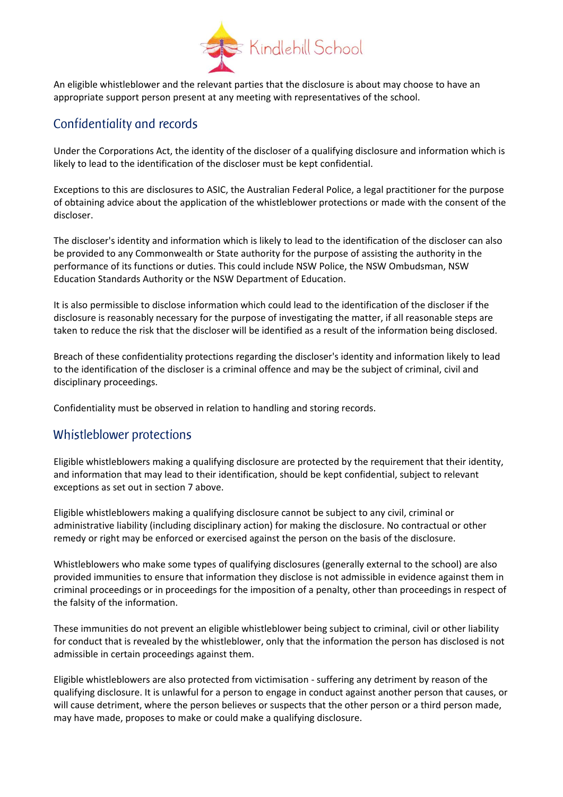

An eligible whistleblower and the relevant parties that the disclosure is about may choose to have an appropriate support person present at any meeting with representatives of the school.

## Confidentiality and records

Under the Corporations Act, the identity of the discloser of a qualifying disclosure and information which is likely to lead to the identification of the discloser must be kept confidential.

Exceptions to this are disclosures to ASIC, the Australian Federal Police, a legal practitioner for the purpose of obtaining advice about the application of the whistleblower protections or made with the consent of the discloser.

The discloser's identity and information which is likely to lead to the identification of the discloser can also be provided to any Commonwealth or State authority for the purpose of assisting the authority in the performance of its functions or duties. This could include NSW Police, the NSW Ombudsman, NSW Education Standards Authority or the NSW Department of Education.

It is also permissible to disclose information which could lead to the identification of the discloser if the disclosure is reasonably necessary for the purpose of investigating the matter, if all reasonable steps are taken to reduce the risk that the discloser will be identified as a result of the information being disclosed.

Breach of these confidentiality protections regarding the discloser's identity and information likely to lead to the identification of the discloser is a criminal offence and may be the subject of criminal, civil and disciplinary proceedings.

Confidentiality must be observed in relation to handling and storing records.

### Whistleblower protections

Eligible whistleblowers making a qualifying disclosure are protected by the requirement that their identity, and information that may lead to their identification, should be kept confidential, subject to relevant exceptions as set out in section 7 above.

Eligible whistleblowers making a qualifying disclosure cannot be subject to any civil, criminal or administrative liability (including disciplinary action) for making the disclosure. No contractual or other remedy or right may be enforced or exercised against the person on the basis of the disclosure.

Whistleblowers who make some types of qualifying disclosures (generally external to the school) are also provided immunities to ensure that information they disclose is not admissible in evidence against them in criminal proceedings or in proceedings for the imposition of a penalty, other than proceedings in respect of the falsity of the information.

These immunities do not prevent an eligible whistleblower being subject to criminal, civil or other liability for conduct that is revealed by the whistleblower, only that the information the person has disclosed is not admissible in certain proceedings against them.

Eligible whistleblowers are also protected from victimisation - suffering any detriment by reason of the qualifying disclosure. It is unlawful for a person to engage in conduct against another person that causes, or will cause detriment, where the person believes or suspects that the other person or a third person made, may have made, proposes to make or could make a qualifying disclosure.